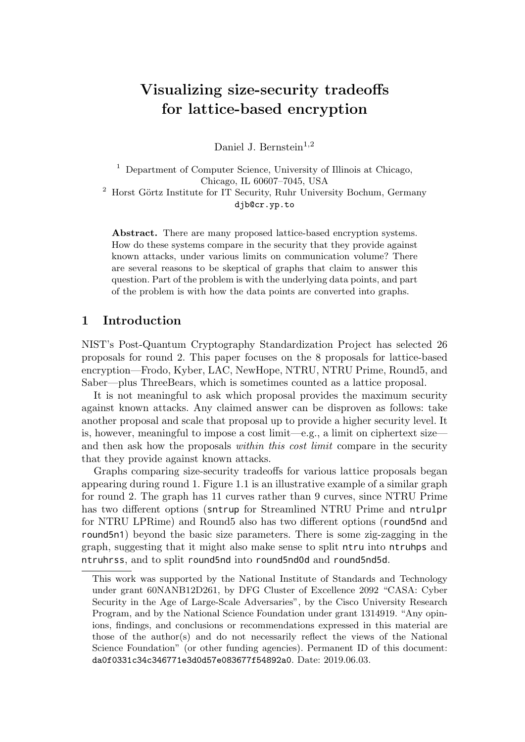# Visualizing size-security tradeoffs for lattice-based encryption

Daniel J. Bernstein<sup>1,2</sup>

<sup>1</sup> Department of Computer Science, University of Illinois at Chicago, Chicago, IL 60607–7045, USA  $2$  Horst Görtz Institute for IT Security, Ruhr University Bochum, Germany djb@cr.yp.to

Abstract. There are many proposed lattice-based encryption systems. How do these systems compare in the security that they provide against known attacks, under various limits on communication volume? There are several reasons to be skeptical of graphs that claim to answer this question. Part of the problem is with the underlying data points, and part of the problem is with how the data points are converted into graphs.

## 1 Introduction

NIST's Post-Quantum Cryptography Standardization Project has selected 26 proposals for round 2. This paper focuses on the 8 proposals for lattice-based encryption—Frodo, Kyber, LAC, NewHope, NTRU, NTRU Prime, Round5, and Saber—plus ThreeBears, which is sometimes counted as a lattice proposal.

It is not meaningful to ask which proposal provides the maximum security against known attacks. Any claimed answer can be disproven as follows: take another proposal and scale that proposal up to provide a higher security level. It is, however, meaningful to impose a cost limit—e.g., a limit on ciphertext size and then ask how the proposals *within this cost limit* compare in the security that they provide against known attacks.

Graphs comparing size-security tradeoffs for various lattice proposals began appearing during round 1. Figure 1.1 is an illustrative example of a similar graph for round 2. The graph has 11 curves rather than 9 curves, since NTRU Prime has two different options (sntrup for Streamlined NTRU Prime and ntrulpr for NTRU LPRime) and Round5 also has two different options (round5nd and round5n1) beyond the basic size parameters. There is some zig-zagging in the graph, suggesting that it might also make sense to split ntru into ntruhps and ntruhrss, and to split round5nd into round5nd0d and round5nd5d.

This work was supported by the National Institute of Standards and Technology under grant 60NANB12D261, by DFG Cluster of Excellence 2092 "CASA: Cyber Security in the Age of Large-Scale Adversaries", by the Cisco University Research Program, and by the National Science Foundation under grant 1314919. "Any opinions, findings, and conclusions or recommendations expressed in this material are those of the author(s) and do not necessarily reflect the views of the National Science Foundation" (or other funding agencies). Permanent ID of this document: da0f0331c34c346771e3d0d57e083677f54892a0. Date: 2019.06.03.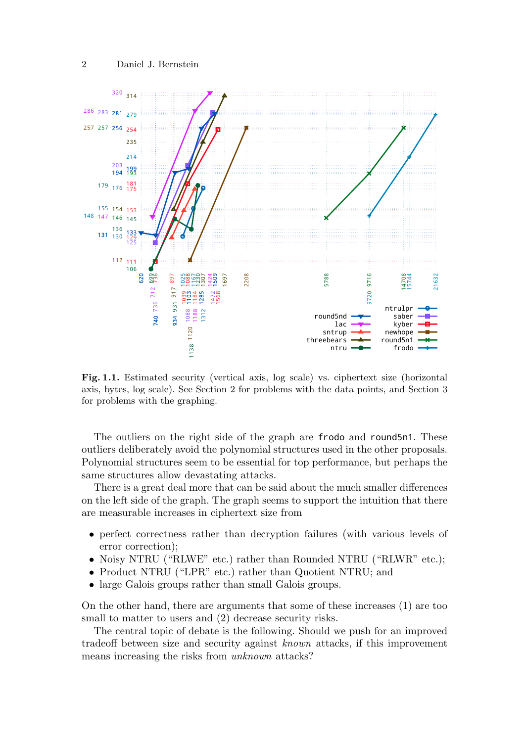

Fig. 1.1. Estimated security (vertical axis, log scale) vs. ciphertext size (horizontal axis, bytes, log scale). See Section 2 for problems with the data points, and Section 3 for problems with the graphing.

The outliers on the right side of the graph are frodo and round5n1. These outliers deliberately avoid the polynomial structures used in the other proposals. Polynomial structures seem to be essential for top performance, but perhaps the same structures allow devastating attacks.

There is a great deal more that can be said about the much smaller differences on the left side of the graph. The graph seems to support the intuition that there are measurable increases in ciphertext size from

- perfect correctness rather than decryption failures (with various levels of error correction);
- Noisy NTRU ("RLWE" etc.) rather than Rounded NTRU ("RLWR" etc.);
- Product NTRU ("LPR" etc.) rather than Quotient NTRU; and
- large Galois groups rather than small Galois groups.

On the other hand, there are arguments that some of these increases (1) are too small to matter to users and  $(2)$  decrease security risks.

The central topic of debate is the following. Should we push for an improved tradeoff between size and security against known attacks, if this improvement means increasing the risks from unknown attacks?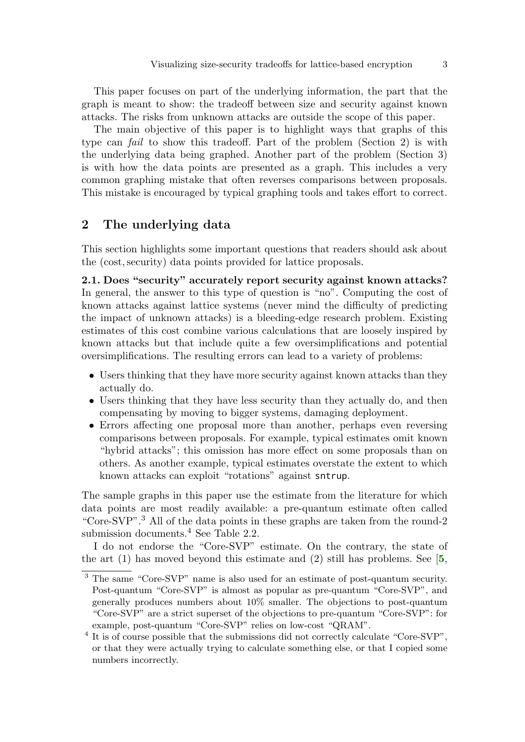This paper focuses on part of the underlying information, the part that the graph is meant to show: the tradeoff between size and security against known attacks. The risks from unknown attacks are outside the scope of this paper.

The main objective of this paper is to highlight ways that graphs of this type can fail to show this tradeoff. Part of the problem (Section 2) is with the underlying data being graphed. Another part of the problem (Section 3) is with how the data points are presented as a graph. This includes a very common graphing mistake that often reverses comparisons between proposals. This mistake is encouraged by typical graphing tools and takes effort to correct.

## 2 The underlying data

This section highlights some important questions that readers should ask about the (cost,security) data points provided for lattice proposals.

2.1. Does "security" accurately report security against known attacks? In general, the answer to this type of question is "no". Computing the cost of known attacks against lattice systems (never mind the difficulty of predicting the impact of unknown attacks) is a bleeding-edge research problem. Existing estimates of this cost combine various calculations that are loosely inspired by known attacks but that include quite a few oversimplifications and potential oversimplifications. The resulting errors can lead to a variety of problems:

- Users thinking that they have more security against known attacks than they actually do.
- Users thinking that they have less security than they actually do, and then compensating by moving to bigger systems, damaging deployment.
- Errors affecting one proposal more than another, perhaps even reversing comparisons between proposals. For example, typical estimates omit known "hybrid attacks"; this omission has more effect on some proposals than on others. As another example, typical estimates overstate the extent to which known attacks can exploit "rotations" against sntrup.

The sample graphs in this paper use the estimate from the literature for which data points are most readily available: a pre-quantum estimate often called "Core-SVP".<sup>3</sup> All of the data points in these graphs are taken from the round-2 submission documents.<sup>4</sup> See Table 2.2.

I do not endorse the "Core-SVP" estimate. On the contrary, the state of the art  $(1)$  has moved beyond this estimate and  $(2)$  still has problems. See [[5](#page-14-0),

<span id="page-2-0"></span><sup>3</sup> The same "Core-SVP" name is also used for an estimate of post-quantum security. Post-quantum "Core-SVP" is almost as popular as pre-quantum "Core-SVP", and generally produces numbers about 10% smaller. The objections to post-quantum "Core-SVP" are a strict superset of the objections to pre-quantum "Core-SVP": for example, post-quantum "Core-SVP" relies on low-cost "QRAM".

<sup>&</sup>lt;sup>4</sup> It is of course possible that the submissions did not correctly calculate "Core-SVP", or that they were actually trying to calculate something else, or that I copied some numbers incorrectly.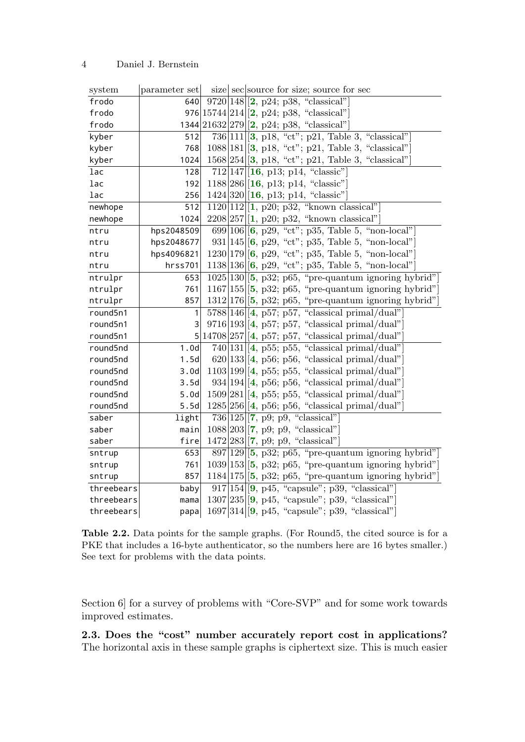<span id="page-3-35"></span><span id="page-3-34"></span><span id="page-3-33"></span><span id="page-3-26"></span><span id="page-3-25"></span><span id="page-3-24"></span><span id="page-3-23"></span><span id="page-3-19"></span><span id="page-3-18"></span><span id="page-3-17"></span><span id="page-3-7"></span><span id="page-3-6"></span><span id="page-3-5"></span><span id="page-3-4"></span><span id="page-3-3"></span><span id="page-3-2"></span><span id="page-3-1"></span><span id="page-3-0"></span>

| system     | parameter set | size second second size; source for sec                   |
|------------|---------------|-----------------------------------------------------------|
| frodo      | 640           | $9720 148 $ [2, p24; p38, "classical"]                    |
| frodo      |               | 976 $ 15744 214 $ [2, p24; p38, "classical"]              |
| frodo      |               | 1344 21632 279 [2, p24; p38, "classical"]                 |
| kyber      | 512           | $736 111 $ [3, p18, "ct"; p21, Table 3, "classical"]      |
| kyber      | 768           | $1088 181 $ [3, p18, "ct"; p21, Table 3, "classical"]     |
| kyber      | 1024          | $1568 254 $ [3, p18, "ct"; p21, Table 3, "classical"]     |
| lac        | 128           | $712 147 $ [16, p13; p14, "classic"]                      |
| lac        | 192           | $1188 286 $ [16, p13; p14, "classic"]                     |
| lac        | 256           | $1424 320 $ [16, p13; p14, "classic"]                     |
| newhope    | 512           | 1120 112 [1, p20; p32, "known classical"]                 |
| newhope    | 1024          | $2208 257 $ [1, p20; p32, "known classical"]              |
| ntru       | hps2048509    | 699 106  $[6, p29, "ct"; p35, Table 5, "non-local"$       |
| ntru       | hps2048677    | 931 145  $[6, p29, "ct"; p35, Table 5, "non-local"$       |
| ntru       | hps4096821    | $1230 179 $ [6, p29, "ct"; p35, Table 5, "non-local"]     |
| ntru       | hrss701       | $1138 136 $ [6, p29, "ct"; p35, Table 5, "non-local"]     |
| ntrulpr    | 653           | $1025 130 $ [5, p32; p65, "pre-quantum ignoring hybrid"]  |
| ntrulpr    | 761           | $1167 155 $ [5, p32; p65, "pre-quantum ignoring hybrid"]  |
| ntrulpr    | 857           | $1312 176 $ [5, p32; p65, "pre-quantum ignoring hybrid"]  |
| round5n1   | 1             | $5788 146 $ [4, p57; p57, "classical primal/dual"]        |
| round5n1   | 3             | $9716 193 $ [4, p57; p57, "classical primal/dual"]        |
| round5n1   | 5             | $ 14708 257 $ [4, p57; p57, "classical primal/dual"]      |
| round5nd   | 1.0d          | $740 131 $ [4, p55; p55, "classical primal/dual"]         |
| round5nd   | 1.5d          | $620 133 $ [4, p56; p56, "classical primal/dual"]         |
| round5nd   | 3.0d          | $1103 199 $ [4, p55; p55, "classical primal/dual"]        |
| round5nd   | 3.5d          | $934 194 $ [4, p56; p56, "classical primal/dual"]         |
| round5nd   | 5.0d          | $1509 281 $ [4, p55; p55, "classical primal/dual"]        |
| round5nd   | 5.5d          | $1285 256 $ [4, p56; p56, "classical primal/dual"         |
| saber      | light         | $736 125 $ $\left[7, p9; p9, \text{``classical''}\right]$ |
| saber      | main          | $1088 203 $ [7, p9; p9, "classical"]                      |
| saber      | fire          | $1472 283 $ [7, p9; p9, "classical"]                      |
| sntrup     | 653           | $897 129 $ [5, p32; p65, "pre-quantum ignoring hybrid"]   |
| sntrup     | 761           | $1039 153 $ [5, p32; p65, "pre-quantum ignoring hybrid"]  |
| sntrup     | 857           | $1184 175 $ [5, p32; p65, "pre-quantum ignoring hybrid"]  |
| threebears | baby          | $917 154 $ [9, p45, "capsule"; p39, "classical"]          |
| threebears | mama          | $1307 235 $ [9, p45, "capsule"; p39, "classical"]         |
| threebears | papa          | $1697 314 $ [9, p45, "capsule"; p39, "classical"]         |

<span id="page-3-32"></span><span id="page-3-31"></span><span id="page-3-30"></span><span id="page-3-29"></span><span id="page-3-28"></span><span id="page-3-27"></span><span id="page-3-22"></span><span id="page-3-21"></span><span id="page-3-20"></span><span id="page-3-16"></span><span id="page-3-15"></span><span id="page-3-14"></span><span id="page-3-13"></span><span id="page-3-12"></span><span id="page-3-11"></span><span id="page-3-10"></span><span id="page-3-9"></span><span id="page-3-8"></span>Table 2.2. Data points for the sample graphs. (For Round5, the cited source is for a PKE that includes a 16-byte authenticator, so the numbers here are 16 bytes smaller.) See text for problems with the data points.

Section 6 for a survey of problems with "Core-SVP" and for some work towards improved estimates.

2.3. Does the "cost" number accurately report cost in applications? The horizontal axis in these sample graphs is ciphertext size. This is much easier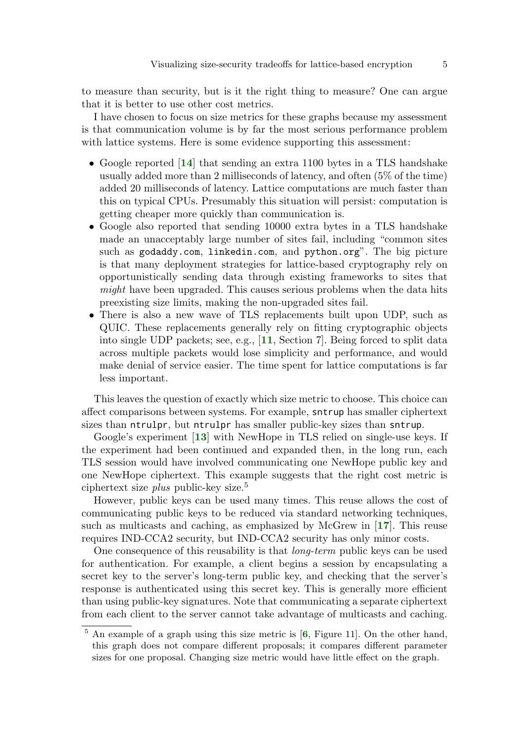to measure than security, but is it the right thing to measure? One can argue that it is better to use other cost metrics.

I have chosen to focus on size metrics for these graphs because my assessment is that communication volume is by far the most serious performance problem with lattice systems. Here is some evidence supporting this assessment:

- <span id="page-4-3"></span>• Google reported [[14](#page-15-1)] that sending an extra 1100 bytes in a TLS handshake usually added more than 2 milliseconds of latency, and often (5% of the time) added 20 milliseconds of latency. Lattice computations are much faster than this on typical CPUs. Presumably this situation will persist: computation is getting cheaper more quickly than communication is.
- Google also reported that sending 10000 extra bytes in a TLS handshake made an unacceptably large number of sites fail, including "common sites such as godaddy.com, linkedin.com, and python.org". The big picture is that many deployment strategies for lattice-based cryptography rely on opportunistically sending data through existing frameworks to sites that might have been upgraded. This causes serious problems when the data hits preexisting size limits, making the non-upgraded sites fail.
- <span id="page-4-1"></span>• There is also a new wave of TLS replacements built upon UDP, such as QUIC. These replacements generally rely on fitting cryptographic objects into single UDP packets; see, e.g., [[11](#page-15-2), Section 7]. Being forced to split data across multiple packets would lose simplicity and performance, and would make denial of service easier. The time spent for lattice computations is far less important.

This leaves the question of exactly which size metric to choose. This choice can affect comparisons between systems. For example, sntrup has smaller ciphertext sizes than ntrulpr, but ntrulpr has smaller public-key sizes than sntrup.

<span id="page-4-2"></span>Google's experiment [[13](#page-15-3)] with NewHope in TLS relied on single-use keys. If the experiment had been continued and expanded then, in the long run, each TLS session would have involved communicating one NewHope public key and one NewHope ciphertext. This example suggests that the right cost metric is ciphertext size *plus* public-key size.<sup>5</sup>

<span id="page-4-4"></span>However, public keys can be used many times. This reuse allows the cost of communicating public keys to be reduced via standard networking techniques, such as multicasts and caching, as emphasized by McGrew in [[17](#page-15-4)]. This reuse requires IND-CCA2 security, but IND-CCA2 security has only minor costs.

One consequence of this reusability is that long-term public keys can be used for authentication. For example, a client begins a session by encapsulating a secret key to the server's long-term public key, and checking that the server's response is authenticated using this secret key. This is generally more efficient than using public-key signatures. Note that communicating a separate ciphertext from each client to the server cannot take advantage of multicasts and caching.

<span id="page-4-0"></span> $5$  An example of a graph using this size metric is  $[6,$  $[6,$  $[6,$  Figure 11. On the other hand, this graph does not compare different proposals; it compares different parameter sizes for one proposal. Changing size metric would have little effect on the graph.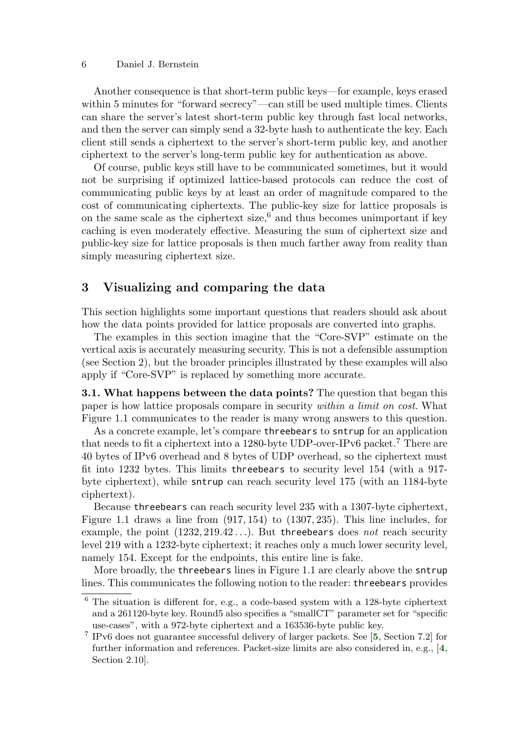#### 6 Daniel J. Bernstein

Another consequence is that short-term public keys—for example, keys erased within 5 minutes for "forward secrecy"—can still be used multiple times. Clients can share the server's latest short-term public key through fast local networks, and then the server can simply send a 32-byte hash to authenticate the key. Each client still sends a ciphertext to the server's short-term public key, and another ciphertext to the server's long-term public key for authentication as above.

Of course, public keys still have to be communicated sometimes, but it would not be surprising if optimized lattice-based protocols can reduce the cost of communicating public keys by at least an order of magnitude compared to the cost of communicating ciphertexts. The public-key size for lattice proposals is on the same scale as the ciphertext size,<sup>6</sup> and thus becomes unimportant if key caching is even moderately effective. Measuring the sum of ciphertext size and public-key size for lattice proposals is then much farther away from reality than simply measuring ciphertext size.

# 3 Visualizing and comparing the data

This section highlights some important questions that readers should ask about how the data points provided for lattice proposals are converted into graphs.

The examples in this section imagine that the "Core-SVP" estimate on the vertical axis is accurately measuring security. This is not a defensible assumption (see Section 2), but the broader principles illustrated by these examples will also apply if "Core-SVP" is replaced by something more accurate.

3.1. What happens between the data points? The question that began this paper is how lattice proposals compare in security within a limit on cost. What Figure 1.1 communicates to the reader is many wrong answers to this question.

As a concrete example, let's compare threebears to sntrup for an application that needs to fit a ciphertext into a 1280-byte UDP-over-IPv6 packet.<sup>7</sup> There are 40 bytes of IPv6 overhead and 8 bytes of UDP overhead, so the ciphertext must fit into 1232 bytes. This limits threebears to security level 154 (with a 917 byte ciphertext), while sntrup can reach security level 175 (with an 1184-byte ciphertext).

Because threebears can reach security level 235 with a 1307-byte ciphertext, Figure 1.1 draws a line from (917, 154) to (1307, 235). This line includes, for example, the point  $(1232, 219.42...)$ . But threebears does not reach security level 219 with a 1232-byte ciphertext; it reaches only a much lower security level, namely 154. Except for the endpoints, this entire line is fake.

More broadly, the threebears lines in Figure 1.1 are clearly above the sntrup lines. This communicates the following notion to the reader: threebears provides

 $6$  The situation is different for, e.g., a code-based system with a 128-byte ciphertext and a 261120-byte key. Round5 also specifies a "smallCT" parameter set for "specific use-cases", with a 972-byte ciphertext and a 163536-byte public key.

<span id="page-5-1"></span><span id="page-5-0"></span><sup>&</sup>lt;sup>7</sup> IPv6 does not guarantee successful delivery of larger packets. See [[5](#page-14-0), Section 7.2] for further information and references. Packet-size limits are also considered in, e.g., [[4](#page-13-2), Section 2.10].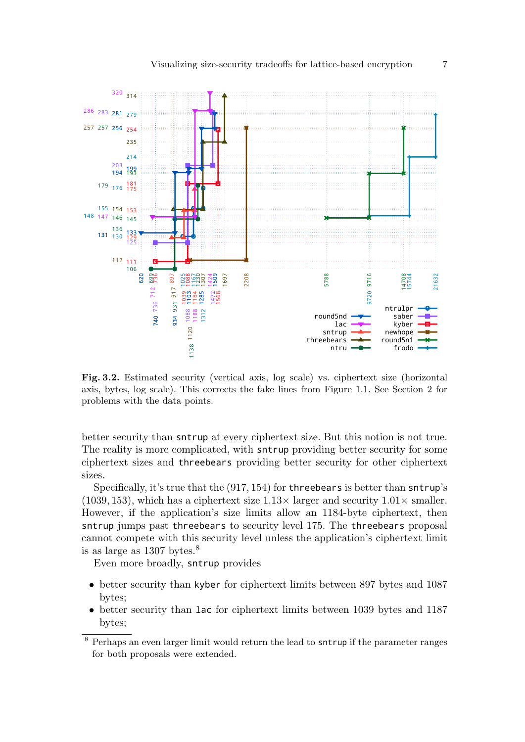

Fig. 3.2. Estimated security (vertical axis, log scale) vs. ciphertext size (horizontal axis, bytes, log scale). This corrects the fake lines from Figure 1.1. See Section 2 for problems with the data points.

better security than sntrup at every ciphertext size. But this notion is not true. The reality is more complicated, with sntrup providing better security for some ciphertext sizes and threebears providing better security for other ciphertext sizes.

Specifically, it's true that the (917, 154) for threebears is better than sntrup's (1039, 153), which has a ciphertext size  $1.13\times$  larger and security  $1.01\times$  smaller. However, if the application's size limits allow an 1184-byte ciphertext, then sntrup jumps past threebears to security level 175. The threebears proposal cannot compete with this security level unless the application's ciphertext limit is as large as bytes.<sup>8</sup>

Even more broadly, sntrup provides

- better security than kyber for ciphertext limits between 897 bytes and 1087 bytes;
- better security than lac for ciphertext limits between 1039 bytes and 1187 bytes;

 Perhaps an even larger limit would return the lead to sntrup if the parameter ranges for both proposals were extended.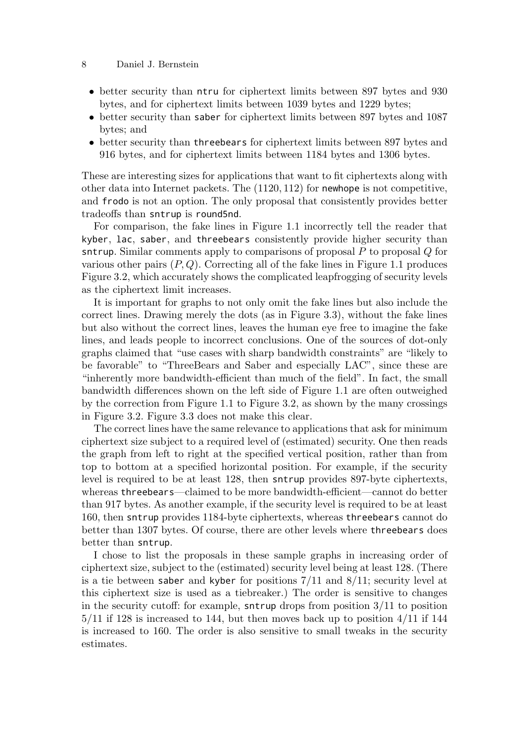#### 8 Daniel J. Bernstein

- better security than ntru for ciphertext limits between 897 bytes and 930 bytes, and for ciphertext limits between 1039 bytes and 1229 bytes;
- better security than saber for ciphertext limits between 897 bytes and 1087 bytes; and
- better security than threebears for ciphertext limits between 897 bytes and 916 bytes, and for ciphertext limits between 1184 bytes and 1306 bytes.

These are interesting sizes for applications that want to fit ciphertexts along with other data into Internet packets. The  $(1120, 112)$  for newhope is not competitive, and frodo is not an option. The only proposal that consistently provides better tradeoffs than sntrup is round5nd.

For comparison, the fake lines in Figure 1.1 incorrectly tell the reader that kyber, lac, saber, and threebears consistently provide higher security than sntrup. Similar comments apply to comparisons of proposal  $P$  to proposal  $Q$  for various other pairs  $(P, Q)$ . Correcting all of the fake lines in Figure 1.1 produces Figure 3.2, which accurately shows the complicated leapfrogging of security levels as the ciphertext limit increases.

It is important for graphs to not only omit the fake lines but also include the correct lines. Drawing merely the dots (as in Figure 3.3), without the fake lines but also without the correct lines, leaves the human eye free to imagine the fake lines, and leads people to incorrect conclusions. One of the sources of dot-only graphs claimed that "use cases with sharp bandwidth constraints" are "likely to be favorable" to "ThreeBears and Saber and especially LAC", since these are "inherently more bandwidth-efficient than much of the field". In fact, the small bandwidth differences shown on the left side of Figure 1.1 are often outweighed by the correction from Figure 1.1 to Figure 3.2, as shown by the many crossings in Figure 3.2. Figure 3.3 does not make this clear.

The correct lines have the same relevance to applications that ask for minimum ciphertext size subject to a required level of (estimated) security. One then reads the graph from left to right at the specified vertical position, rather than from top to bottom at a specified horizontal position. For example, if the security level is required to be at least 128, then sntrup provides 897-byte ciphertexts, whereas threebears—claimed to be more bandwidth-efficient—cannot do better than 917 bytes. As another example, if the security level is required to be at least 160, then sntrup provides 1184-byte ciphertexts, whereas threebears cannot do better than 1307 bytes. Of course, there are other levels where threebears does better than sntrup.

I chose to list the proposals in these sample graphs in increasing order of ciphertext size, subject to the (estimated) security level being at least 128. (There is a tie between saber and kyber for positions  $7/11$  and  $8/11$ ; security level at this ciphertext size is used as a tiebreaker.) The order is sensitive to changes in the security cutoff: for example, sntrup drops from position 3/11 to position  $5/11$  if 128 is increased to 144, but then moves back up to position  $4/11$  if 144 is increased to 160. The order is also sensitive to small tweaks in the security estimates.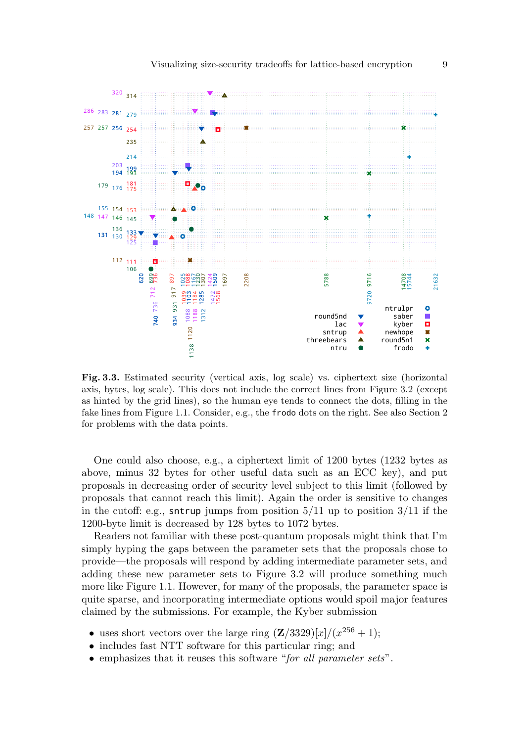

Fig. 3.3. Estimated security (vertical axis, log scale) vs. ciphertext size (horizontal axis, bytes, log scale). This does not include the correct lines from Figure 3.2 (except as hinted by the grid lines), so the human eye tends to connect the dots, filling in the fake lines from Figure 1.1. Consider, e.g., the frodo dots on the right. See also Section 2 for problems with the data points.

One could also choose, e.g., a ciphertext limit of 1200 bytes (1232 bytes as above, minus 32 bytes for other useful data such as an ECC key), and put proposals in decreasing order of security level subject to this limit (followed by proposals that cannot reach this limit). Again the order is sensitive to changes in the cutoff: e.g., sntrup jumps from position  $5/11$  up to position  $3/11$  if the 1200-byte limit is decreased by 128 bytes to 1072 bytes.

Readers not familiar with these post-quantum proposals might think that I'm simply hyping the gaps between the parameter sets that the proposals chose to provide—the proposals will respond by adding intermediate parameter sets, and adding these new parameter sets to Figure 3.2 will produce something much more like Figure 1.1. However, for many of the proposals, the parameter space is quite sparse, and incorporating intermediate options would spoil major features claimed by the submissions. For example, the Kyber submission

- uses short vectors over the large ring  $(\mathbf{Z}/3329)[x]/(x^{256}+1);$
- includes fast NTT software for this particular ring; and
- emphasizes that it reuses this software "for all parameter sets".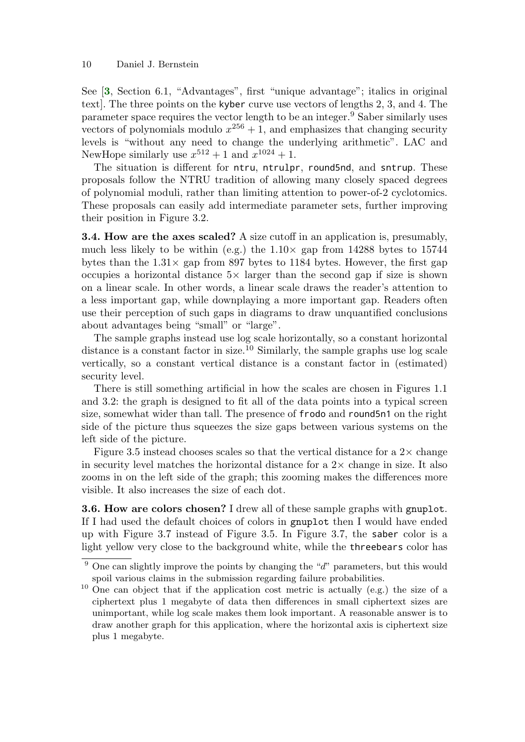<span id="page-9-0"></span>See [[3](#page-13-1), Section 6.1, "Advantages", first "unique advantage"; italics in original text]. The three points on the kyber curve use vectors of lengths 2, 3, and 4. The parameter space requires the vector length to be an integer.<sup>9</sup> Saber similarly uses vectors of polynomials modulo  $x^{256} + 1$ , and emphasizes that changing security levels is "without any need to change the underlying arithmetic". LAC and NewHope similarly use  $x^{512} + 1$  and  $x^{1024} + 1$ .

The situation is different for ntru, ntrulpr, round5nd, and sntrup. These proposals follow the NTRU tradition of allowing many closely spaced degrees of polynomial moduli, rather than limiting attention to power-of-2 cyclotomics. These proposals can easily add intermediate parameter sets, further improving their position in Figure 3.2.

3.4. How are the axes scaled? A size cutoff in an application is, presumably, much less likely to be within (e.g.) the  $1.10\times$  gap from 14288 bytes to 15744 bytes than the  $1.31\times$  gap from 897 bytes to 1184 bytes. However, the first gap occupies a horizontal distance  $5\times$  larger than the second gap if size is shown on a linear scale. In other words, a linear scale draws the reader's attention to a less important gap, while downplaying a more important gap. Readers often use their perception of such gaps in diagrams to draw unquantified conclusions about advantages being "small" or "large".

The sample graphs instead use log scale horizontally, so a constant horizontal distance is a constant factor in size.<sup>10</sup> Similarly, the sample graphs use  $log scale$ vertically, so a constant vertical distance is a constant factor in (estimated) security level.

There is still something artificial in how the scales are chosen in Figures 1.1 and 3.2: the graph is designed to fit all of the data points into a typical screen size, somewhat wider than tall. The presence of frodo and round5n1 on the right side of the picture thus squeezes the size gaps between various systems on the left side of the picture.

Figure 3.5 instead chooses scales so that the vertical distance for a  $2\times$  change in security level matches the horizontal distance for a  $2\times$  change in size. It also zooms in on the left side of the graph; this zooming makes the differences more visible. It also increases the size of each dot.

3.6. How are colors chosen? I drew all of these sample graphs with gnuplot. If I had used the default choices of colors in gnuplot then I would have ended up with Figure 3.7 instead of Figure 3.5. In Figure 3.7, the saber color is a light yellow very close to the background white, while the threebears color has

<sup>&</sup>lt;sup>9</sup> One can slightly improve the points by changing the " $d$ " parameters, but this would spoil various claims in the submission regarding failure probabilities.

 $10$  One can object that if the application cost metric is actually (e.g.) the size of a ciphertext plus 1 megabyte of data then differences in small ciphertext sizes are unimportant, while log scale makes them look important. A reasonable answer is to draw another graph for this application, where the horizontal axis is ciphertext size plus 1 megabyte.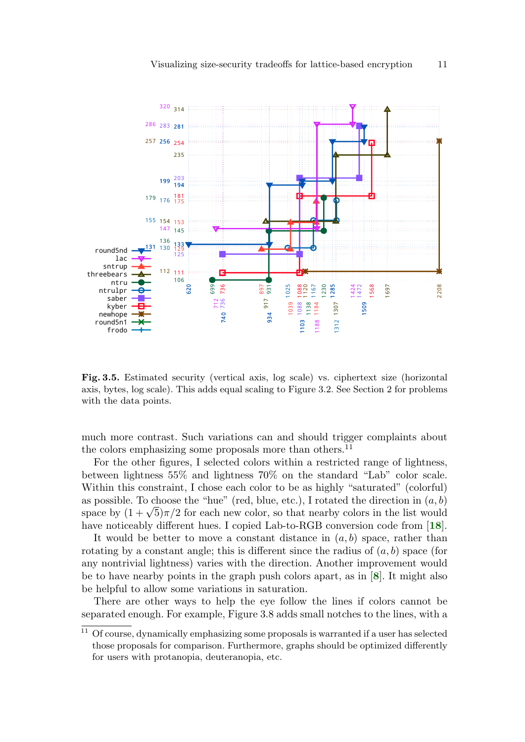

Fig. 3.5. Estimated security (vertical axis, log scale) vs. ciphertext size (horizontal axis, bytes, log scale). This adds equal scaling to Figure 3.2. See Section 2 for problems with the data points.

much more contrast. Such variations can and should trigger complaints about the colors emphasizing some proposals more than others.<sup>11</sup>

For the other figures, I selected colors within a restricted range of lightness, between lightness 55% and lightness 70% on the standard "Lab" color scale. Within this constraint, I chose each color to be as highly "saturated" (colorful) as possible. To choose the "hue" (red, blue, etc.), I rotated the direction in  $(a, b)$ as possible. To choose the "nue" (red, blue, etc.), I rotated the direction in  $(a, b)$ <br>space by  $(1 + \sqrt{5})\pi/2$  for each new color, so that nearby colors in the list would have noticeably different hues. I copied Lab-to-RGB conversion code from [[18](#page-15-5)].

<span id="page-10-1"></span>It would be better to move a constant distance in  $(a, b)$  space, rather than rotating by a constant angle; this is different since the radius of  $(a, b)$  space (for any nontrivial lightness) varies with the direction. Another improvement would be to have nearby points in the graph push colors apart, as in [[8](#page-14-4)]. It might also be helpful to allow some variations in saturation.

<span id="page-10-0"></span>There are other ways to help the eye follow the lines if colors cannot be separated enough. For example, Figure 3.8 adds small notches to the lines, with a

 Of course, dynamically emphasizing some proposals is warranted if a user has selected those proposals for comparison. Furthermore, graphs should be optimized differently for users with protanopia, deuteranopia, etc.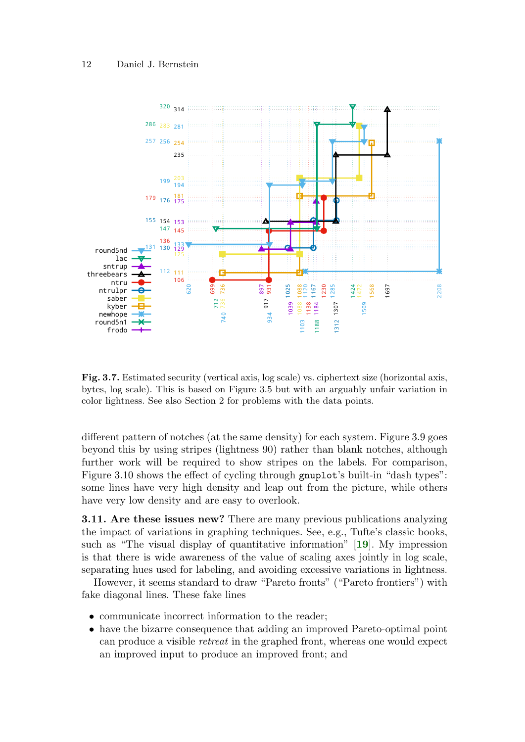

Fig. 3.7. Estimated security (vertical axis, log scale) vs. ciphertext size (horizontal axis, bytes, log scale). This is based on Figure 3.5 but with an arguably unfair variation in color lightness. See also Section 2 for problems with the data points.

different pattern of notches (at the same density) for each system. Figure 3.9 goes beyond this by using stripes (lightness 90) rather than blank notches, although further work will be required to show stripes on the labels. For comparison, Figure 3.10 shows the effect of cycling through gnuplot's built-in "dash types": some lines have very high density and leap out from the picture, while others have very low density and are easy to overlook.

<span id="page-11-0"></span>3.11. Are these issues new? There are many previous publications analyzing the impact of variations in graphing techniques. See, e.g., Tufte's classic books, such as "The visual display of quantitative information" [[19](#page-15-6)]. My impression is that there is wide awareness of the value of scaling axes jointly in log scale, separating hues used for labeling, and avoiding excessive variations in lightness.

However, it seems standard to draw "Pareto fronts" ("Pareto frontiers") with fake diagonal lines. These fake lines

- communicate incorrect information to the reader;
- have the bizarre consequence that adding an improved Pareto-optimal point can produce a visible retreat in the graphed front, whereas one would expect an improved input to produce an improved front; and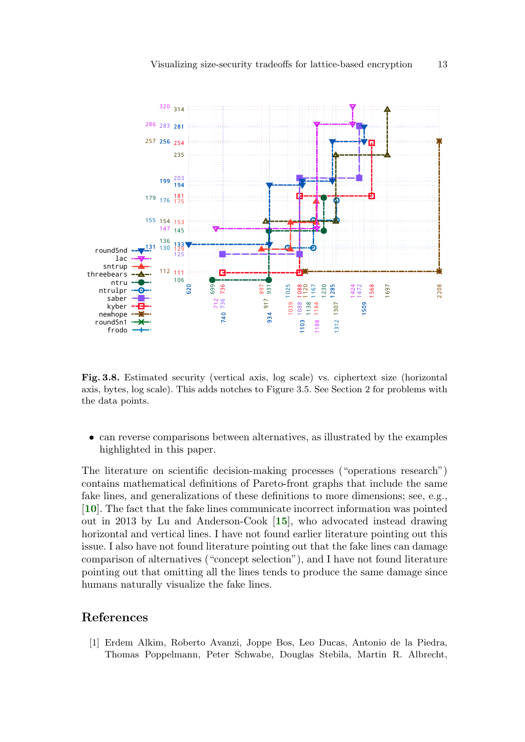

Fig. 3.8. Estimated security (vertical axis, log scale) vs. ciphertext size (horizontal axis, bytes, log scale). This adds notches to Figure 3.5. See Section 2 for problems with the data points.

• can reverse comparisons between alternatives, as illustrated by the examples highlighted in this paper.

<span id="page-12-2"></span><span id="page-12-1"></span>The literature on scientific decision-making processes ("operations research") contains mathematical definitions of Pareto-front graphs that include the same fake lines, and generalizations of these definitions to more dimensions; see, e.g., [[10](#page-15-7)]. The fact that the fake lines communicate incorrect information was pointed out in 2013 by Lu and Anderson-Cook [[15](#page-15-8)], who advocated instead drawing horizontal and vertical lines. I have not found earlier literature pointing out this issue. I also have not found literature pointing out that the fake lines can damage comparison of alternatives ("concept selection"), and I have not found literature pointing out that omitting all the lines tends to produce the same damage since humans naturally visualize the fake lines.

### References

<span id="page-12-0"></span>[1] Erdem Alkim, Roberto Avanzi, Joppe Bos, Leo Ducas, Antonio de la Piedra, Thomas Poppelmann, Peter Schwabe, Douglas Stebila, Martin R. Albrecht,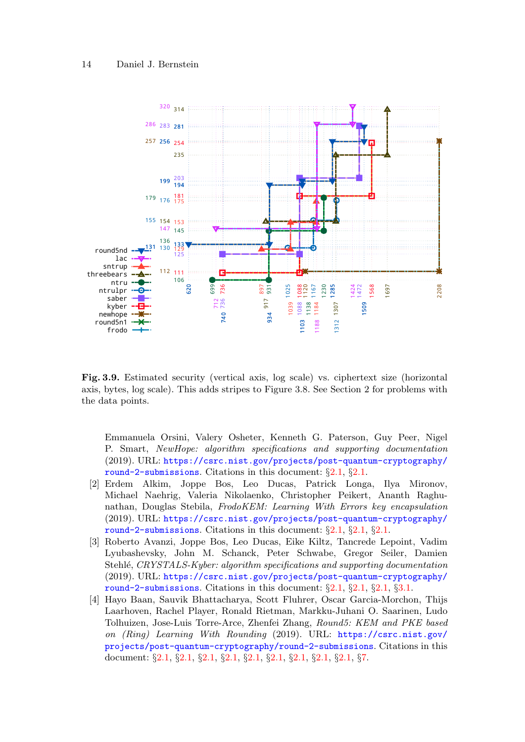

Fig. 3.9. Estimated security (vertical axis, log scale) vs. ciphertext size (horizontal axis, bytes, log scale). This adds stripes to Figure 3.8. See Section 2 for problems with the data points.

Emmanuela Orsini, Valery Osheter, Kenneth G. Paterson, Guy Peer, Nigel P. Smart, NewHope: algorithm specifications and supporting documentation (2019). URL: [https://csrc.nist.gov/projects/post-quantum-cryptography/](https://csrc.nist.gov/projects/post-quantum-cryptography/round-2-submissions) [round-2-submissions](https://csrc.nist.gov/projects/post-quantum-cryptography/round-2-submissions). Citations in this document: §[2.1](#page-3-0), §[2.1](#page-3-1).

- <span id="page-13-0"></span>[2] Erdem Alkim, Joppe Bos, Leo Ducas, Patrick Longa, Ilya Mironov, Michael Naehrig, Valeria Nikolaenko, Christopher Peikert, Ananth Raghunathan, Douglas Stebila, FrodoKEM: Learning With Errors key encapsulation (2019). URL: [https://csrc.nist.gov/projects/post-quantum-cryptography/](https://csrc.nist.gov/projects/post-quantum-cryptography/round-2-submissions) [round-2-submissions](https://csrc.nist.gov/projects/post-quantum-cryptography/round-2-submissions). Citations in this document: §[2.1](#page-3-2), §[2.1](#page-3-3), §[2.1](#page-3-4).
- <span id="page-13-1"></span>[3] Roberto Avanzi, Joppe Bos, Leo Ducas, Eike Kiltz, Tancrede Lepoint, Vadim Lyubashevsky, John M. Schanck, Peter Schwabe, Gregor Seiler, Damien Stehlé, CRYSTALS-Kyber: algorithm specifications and supporting documentation (2019). URL: [https://csrc.nist.gov/projects/post-quantum-cryptography/](https://csrc.nist.gov/projects/post-quantum-cryptography/round-2-submissions) [round-2-submissions](https://csrc.nist.gov/projects/post-quantum-cryptography/round-2-submissions). Citations in this document:  $\S 2.1, \S 2.1, \S 3.1$  $\S 2.1, \S 2.1, \S 3.1$  $\S 2.1, \S 2.1, \S 3.1$ .
- <span id="page-13-2"></span>[4] Hayo Baan, Sauvik Bhattacharya, Scott Fluhrer, Oscar Garcia-Morchon, Thijs Laarhoven, Rachel Player, Ronald Rietman, Markku-Juhani O. Saarinen, Ludo Tolhuizen, Jose-Luis Torre-Arce, Zhenfei Zhang, Round5: KEM and PKE based on (Ring) Learning With Rounding (2019). URL: [https://csrc.nist.gov/](https://csrc.nist.gov/projects/post-quantum-cryptography/round-2-submissions) [projects/post-quantum-cryptography/round-2-submissions](https://csrc.nist.gov/projects/post-quantum-cryptography/round-2-submissions). Citations in this document: §[2.1,](#page-3-8) §[2.1,](#page-3-9) §[2.1,](#page-3-10) §[2.1](#page-3-11), §[2.1](#page-3-12), §[2.1,](#page-3-13) §[2.1,](#page-3-14) §[2.1,](#page-3-15) §[2.1](#page-3-16), §[7.](#page-5-0)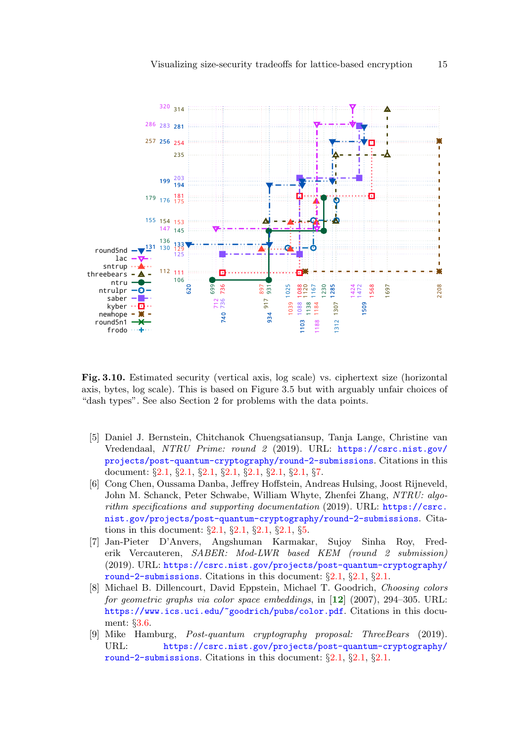

Fig. 3.10. Estimated security (vertical axis, log scale) vs. ciphertext size (horizontal axis, bytes, log scale). This is based on Figure 3.5 but with arguably unfair choices of "dash types". See also Section 2 for problems with the data points.

- <span id="page-14-0"></span>[5] Daniel J. Bernstein, Chitchanok Chuengsatiansup, Tanja Lange, Christine van Vredendaal, NTRU Prime: round 2 (2019). URL: [https://csrc.nist.gov/](https://csrc.nist.gov/projects/post-quantum-cryptography/round-2-submissions) [projects/post-quantum-cryptography/round-2-submissions](https://csrc.nist.gov/projects/post-quantum-cryptography/round-2-submissions). Citations in this document: §[2.1,](#page-2-0) §[2.1,](#page-3-17) §[2.1,](#page-3-18) §[2.1](#page-3-19), §[2.1](#page-3-20), §[2.1,](#page-3-21) §[2.1,](#page-3-22) §[7.](#page-5-1)
- <span id="page-14-1"></span>[6] Cong Chen, Oussama Danba, Jeffrey Hoffstein, Andreas Hulsing, Joost Rijneveld, John M. Schanck, Peter Schwabe, William Whyte, Zhenfei Zhang, NTRU: algorithm specifications and supporting documentation  $(2019)$ . URL: [https://csrc.](https://csrc.nist.gov/projects/post-quantum-cryptography/round-2-submissions) [nist.gov/projects/post-quantum-cryptography/round-2-submissions](https://csrc.nist.gov/projects/post-quantum-cryptography/round-2-submissions). Citations in this document: §[2.1,](#page-3-23) §[2.1](#page-3-24), §[2.1](#page-3-25), §[2.1,](#page-3-26) §[5](#page-4-0).
- <span id="page-14-2"></span>[7] Jan-Pieter D'Anvers, Angshuman Karmakar, Sujoy Sinha Roy, Frederik Vercauteren, SABER: Mod-LWR based KEM (round 2 submission) (2019). URL: [https://csrc.nist.gov/projects/post-quantum-cryptography/](https://csrc.nist.gov/projects/post-quantum-cryptography/round-2-submissions) [round-2-submissions](https://csrc.nist.gov/projects/post-quantum-cryptography/round-2-submissions). Citations in this document: §[2.1](#page-3-27), §[2.1](#page-3-28), §[2.1](#page-3-29).
- <span id="page-14-5"></span><span id="page-14-4"></span>[8] Michael B. Dillencourt, David Eppstein, Michael T. Goodrich, Choosing colors for geometric graphs via color space embeddings, in [[12](#page-15-9)] (2007), 294–305. URL: <https://www.ics.uci.edu/~goodrich/pubs/color.pdf>. Citations in this document: §[3.6.](#page-10-0)
- <span id="page-14-3"></span>[9] Mike Hamburg, Post-quantum cryptography proposal: ThreeBears (2019). URL: [https://csrc.nist.gov/projects/post-quantum-cryptography/](https://csrc.nist.gov/projects/post-quantum-cryptography/round-2-submissions) [round-2-submissions](https://csrc.nist.gov/projects/post-quantum-cryptography/round-2-submissions). Citations in this document: §[2.1](#page-3-30), §[2.1](#page-3-31), §[2.1](#page-3-32).